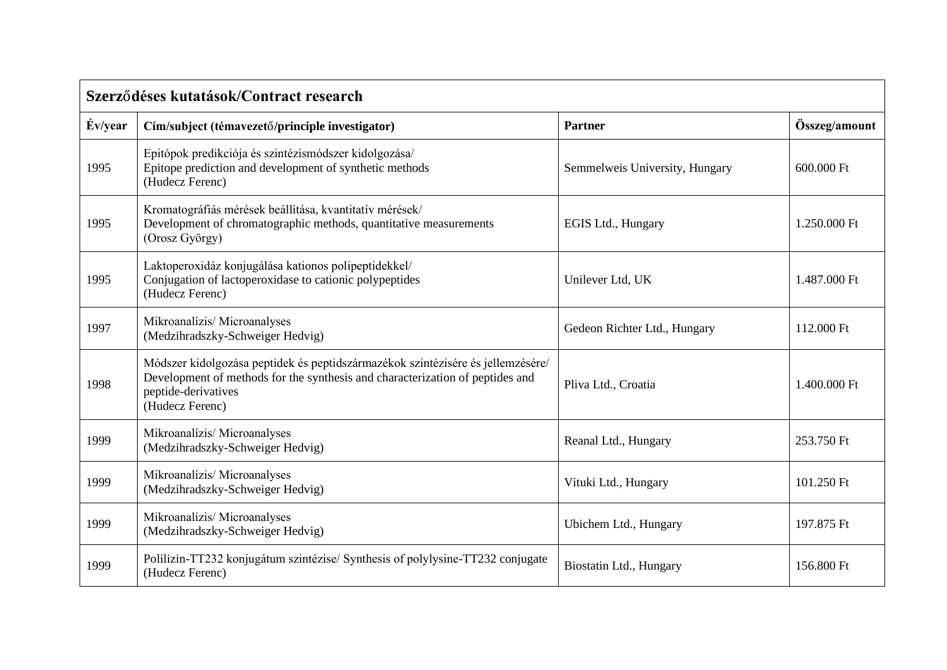| Szerződéses kutatások/Contract research |                                                                                                                                                                                                            |                                |               |
|-----------------------------------------|------------------------------------------------------------------------------------------------------------------------------------------------------------------------------------------------------------|--------------------------------|---------------|
| Év/year                                 | Cím/subject (témavezető/principle investigator)                                                                                                                                                            | <b>Partner</b>                 | Összeg/amount |
| 1995                                    | Epitópok predikciója és szintézismódszer kidolgozása/<br>Epitope prediction and development of synthetic methods<br>(Hudecz Ferenc)                                                                        | Semmelweis University, Hungary | 600.000 Ft    |
| 1995                                    | Kromatográfiás mérések beállítása, kvantitatív mérések/<br>Development of chromatographic methods, quantitative measurements<br>(Orosz György)                                                             | EGIS Ltd., Hungary             | 1.250.000 Ft  |
| 1995                                    | Laktoperoxidáz konjugálása kationos polipeptidekkel/<br>Conjugation of lactoperoxidase to cationic polypeptides<br>(Hudecz Ferenc)                                                                         | Unilever Ltd, UK               | 1.487.000 Ft  |
| 1997                                    | Mikroanalízis/Microanalyses<br>(Medzihradszky-Schweiger Hedvig)                                                                                                                                            | Gedeon Richter Ltd., Hungary   | 112,000 Ft    |
| 1998                                    | Módszer kidolgozása peptidek és peptidszármazékok szintézisére és jellemzésére/<br>Development of methods for the synthesis and characterization of peptides and<br>peptide-derivatives<br>(Hudecz Ferenc) | Pliva Ltd., Croatia            | 1.400.000 Ft  |
| 1999                                    | Mikroanalízis/Microanalyses<br>(Medzihradszky-Schweiger Hedvig)                                                                                                                                            | Reanal Ltd., Hungary           | 253.750 Ft    |
| 1999                                    | Mikroanalízis/Microanalyses<br>(Medzihradszky-Schweiger Hedvig)                                                                                                                                            | Vituki Ltd., Hungary           | 101.250 Ft    |
| 1999                                    | Mikroanalízis/Microanalyses<br>(Medzihradszky-Schweiger Hedvig)                                                                                                                                            | Ubichem Ltd., Hungary          | 197.875 Ft    |
| 1999                                    | Polilizin-TT232 konjugátum szintézise/ Synthesis of polylysine-TT232 conjugate<br>(Hudecz Ferenc)                                                                                                          | Biostatin Ltd., Hungary        | 156.800 Ft    |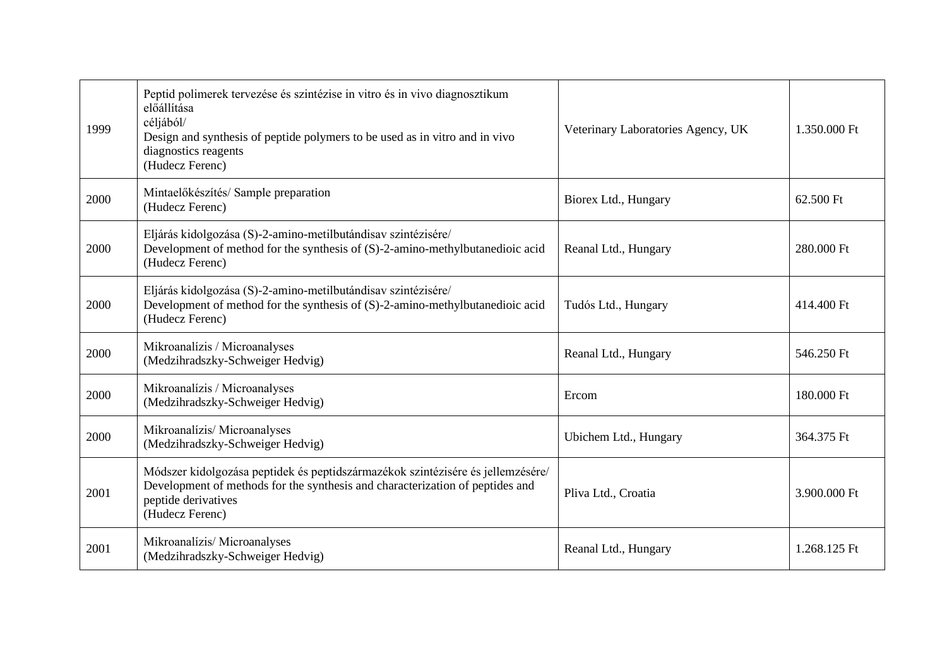| 1999 | Peptid polimerek tervezése és szintézise in vitro és in vivo diagnosztikum<br>előállítása<br>céljából/<br>Design and synthesis of peptide polymers to be used as in vitro and in vivo<br>diagnostics reagents<br>(Hudecz Ferenc) | Veterinary Laboratories Agency, UK | 1.350.000 Ft |
|------|----------------------------------------------------------------------------------------------------------------------------------------------------------------------------------------------------------------------------------|------------------------------------|--------------|
| 2000 | Mintaelőkészítés/ Sample preparation<br>(Hudecz Ferenc)                                                                                                                                                                          | Biorex Ltd., Hungary               | 62.500 Ft    |
| 2000 | Eljárás kidolgozása (S)-2-amino-metilbutándisav szintézisére/<br>Development of method for the synthesis of (S)-2-amino-methylbutanedioic acid<br>(Hudecz Ferenc)                                                                | Reanal Ltd., Hungary               | 280.000 Ft   |
| 2000 | Eljárás kidolgozása (S)-2-amino-metilbutándisav szintézisére/<br>Development of method for the synthesis of (S)-2-amino-methylbutanedioic acid<br>(Hudecz Ferenc)                                                                | Tudós Ltd., Hungary                | 414.400 Ft   |
| 2000 | Mikroanalízis / Microanalyses<br>(Medzihradszky-Schweiger Hedvig)                                                                                                                                                                | Reanal Ltd., Hungary               | 546.250 Ft   |
| 2000 | Mikroanalízis / Microanalyses<br>(Medzihradszky-Schweiger Hedvig)                                                                                                                                                                | Ercom                              | 180.000 Ft   |
| 2000 | Mikroanalízis/Microanalyses<br>(Medzihradszky-Schweiger Hedvig)                                                                                                                                                                  | Ubichem Ltd., Hungary              | 364.375 Ft   |
| 2001 | Módszer kidolgozása peptidek és peptidszármazékok szintézisére és jellemzésére/<br>Development of methods for the synthesis and characterization of peptides and<br>peptide derivatives<br>(Hudecz Ferenc)                       | Pliva Ltd., Croatia                | 3.900.000 Ft |
| 2001 | Mikroanalízis/Microanalyses<br>(Medzihradszky-Schweiger Hedvig)                                                                                                                                                                  | Reanal Ltd., Hungary               | 1.268.125 Ft |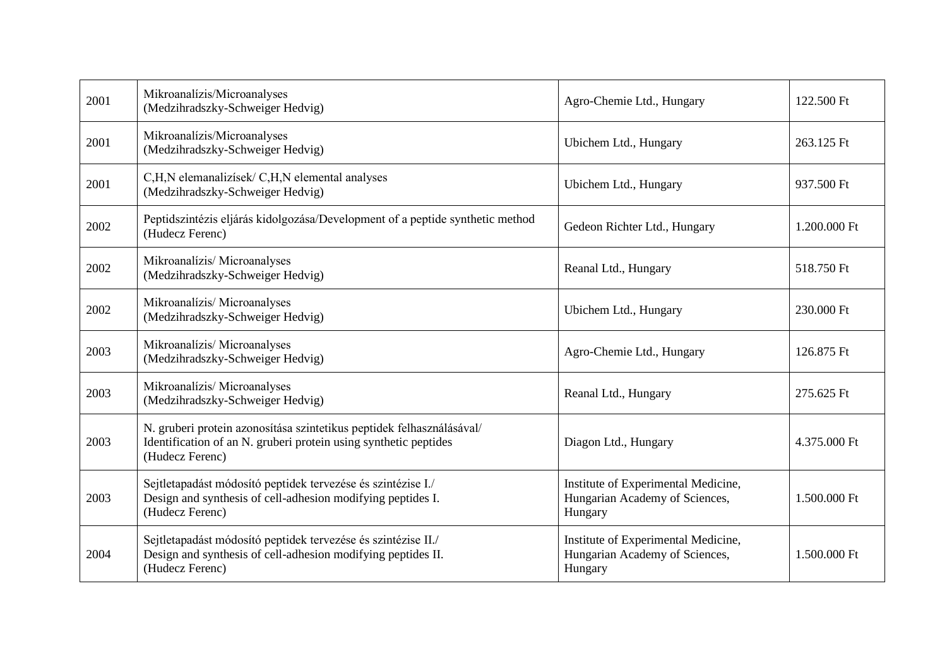| 2001 | Mikroanalízis/Microanalyses<br>(Medzihradszky-Schweiger Hedvig)                                                                                              | Agro-Chemie Ltd., Hungary                                                        | 122.500 Ft   |
|------|--------------------------------------------------------------------------------------------------------------------------------------------------------------|----------------------------------------------------------------------------------|--------------|
| 2001 | Mikroanalízis/Microanalyses<br>(Medzihradszky-Schweiger Hedvig)                                                                                              | Ubichem Ltd., Hungary                                                            | 263.125 Ft   |
| 2001 | C,H,N elemanalizísek/ C,H,N elemental analyses<br>(Medzihradszky-Schweiger Hedvig)                                                                           | Ubichem Ltd., Hungary                                                            | 937.500 Ft   |
| 2002 | Peptidszintézis eljárás kidolgozása/Development of a peptide synthetic method<br>(Hudecz Ferenc)                                                             | Gedeon Richter Ltd., Hungary                                                     | 1.200.000 Ft |
| 2002 | Mikroanalízis/Microanalyses<br>(Medzihradszky-Schweiger Hedvig)                                                                                              | Reanal Ltd., Hungary                                                             | 518.750 Ft   |
| 2002 | Mikroanalízis/Microanalyses<br>(Medzihradszky-Schweiger Hedvig)                                                                                              | Ubichem Ltd., Hungary                                                            | 230.000 Ft   |
| 2003 | Mikroanalízis/Microanalyses<br>(Medzihradszky-Schweiger Hedvig)                                                                                              | Agro-Chemie Ltd., Hungary                                                        | 126.875 Ft   |
| 2003 | Mikroanalízis/Microanalyses<br>(Medzihradszky-Schweiger Hedvig)                                                                                              | Reanal Ltd., Hungary                                                             | 275.625 Ft   |
| 2003 | N. gruberi protein azonosítása szintetikus peptidek felhasználásával/<br>Identification of an N. gruberi protein using synthetic peptides<br>(Hudecz Ferenc) | Diagon Ltd., Hungary                                                             | 4.375.000 Ft |
| 2003 | Sejtletapadást módosító peptidek tervezése és szintézise I./<br>Design and synthesis of cell-adhesion modifying peptides I.<br>(Hudecz Ferenc)               | Institute of Experimental Medicine,<br>Hungarian Academy of Sciences,<br>Hungary | 1.500.000 Ft |
| 2004 | Sejtletapadást módosító peptidek tervezése és szintézise II./<br>Design and synthesis of cell-adhesion modifying peptides II.<br>(Hudecz Ferenc)             | Institute of Experimental Medicine,<br>Hungarian Academy of Sciences,<br>Hungary | 1.500.000 Ft |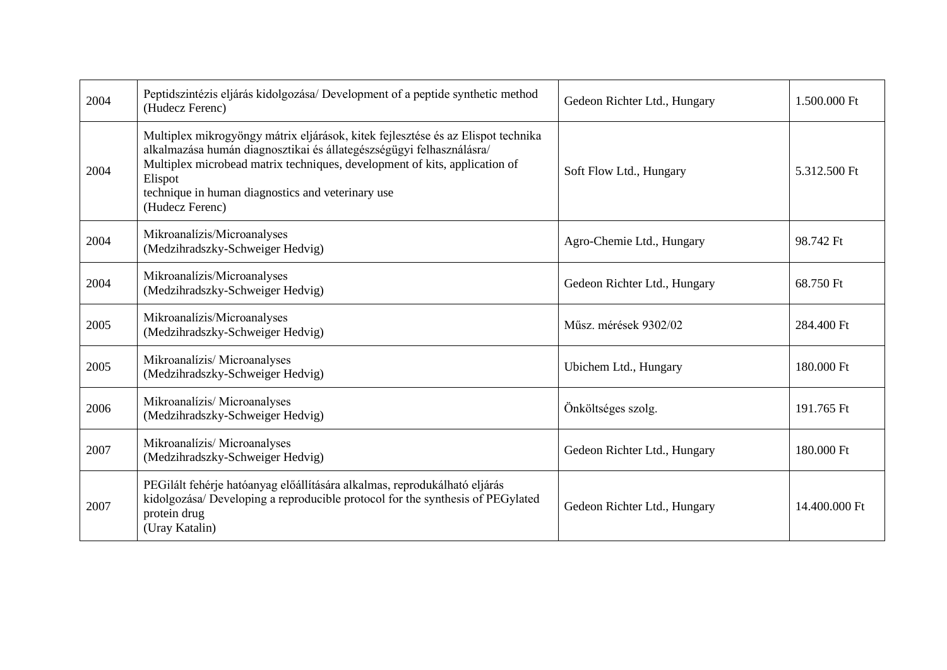| 2004 | Peptidszintézis eljárás kidolgozása/ Development of a peptide synthetic method<br>(Hudecz Ferenc)                                                                                                                                                                                                                         | Gedeon Richter Ltd., Hungary | 1.500.000 Ft  |
|------|---------------------------------------------------------------------------------------------------------------------------------------------------------------------------------------------------------------------------------------------------------------------------------------------------------------------------|------------------------------|---------------|
| 2004 | Multiplex mikrogyöngy mátrix eljárások, kitek fejlesztése és az Elispot technika<br>alkalmazása humán diagnosztikai és állategészségügyi felhasználásra/<br>Multiplex microbead matrix techniques, development of kits, application of<br>Elispot<br>technique in human diagnostics and veterinary use<br>(Hudecz Ferenc) | Soft Flow Ltd., Hungary      | 5.312.500 Ft  |
| 2004 | Mikroanalízis/Microanalyses<br>(Medzihradszky-Schweiger Hedvig)                                                                                                                                                                                                                                                           | Agro-Chemie Ltd., Hungary    | 98.742 Ft     |
| 2004 | Mikroanalízis/Microanalyses<br>(Medzihradszky-Schweiger Hedvig)                                                                                                                                                                                                                                                           | Gedeon Richter Ltd., Hungary | 68.750 Ft     |
| 2005 | Mikroanalízis/Microanalyses<br>(Medzihradszky-Schweiger Hedvig)                                                                                                                                                                                                                                                           | Műsz. mérések 9302/02        | 284.400 Ft    |
| 2005 | Mikroanalízis/Microanalyses<br>(Medzihradszky-Schweiger Hedvig)                                                                                                                                                                                                                                                           | Ubichem Ltd., Hungary        | 180.000 Ft    |
| 2006 | Mikroanalízis/Microanalyses<br>(Medzihradszky-Schweiger Hedvig)                                                                                                                                                                                                                                                           | Önköltséges szolg.           | 191.765 Ft    |
| 2007 | Mikroanalízis/Microanalyses<br>(Medzihradszky-Schweiger Hedvig)                                                                                                                                                                                                                                                           | Gedeon Richter Ltd., Hungary | 180.000 Ft    |
| 2007 | PEGilált fehérje hatóanyag előállítására alkalmas, reprodukálható eljárás<br>kidolgozása/ Developing a reproducible protocol for the synthesis of PEGylated<br>protein drug<br>(Uray Katalin)                                                                                                                             | Gedeon Richter Ltd., Hungary | 14.400.000 Ft |